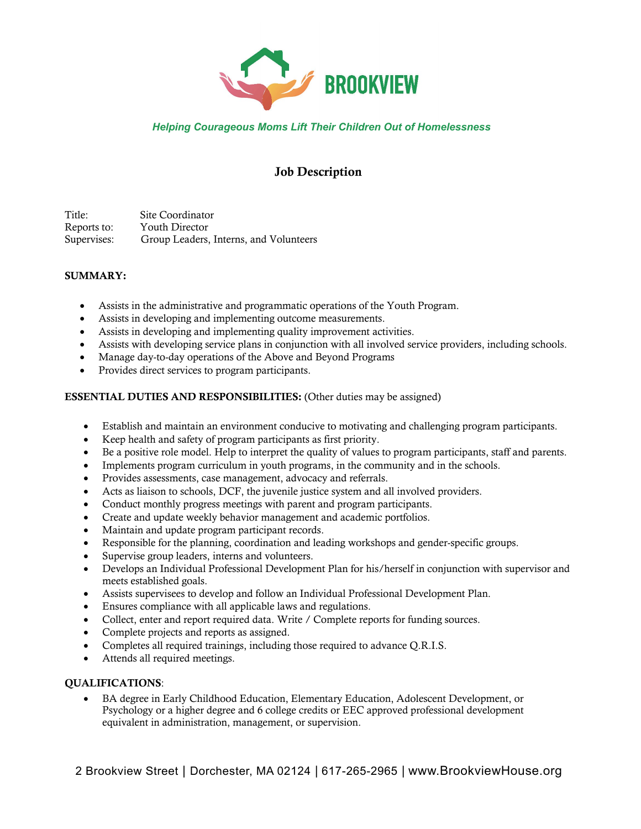

## *Helping Courageous Moms Lift Their Children Out of Homelessness*

# Job Description

Title: Site Coordinator Reports to: Youth Director Supervises: Group Leaders, Interns, and Volunteers

### SUMMARY:

- Assists in the administrative and programmatic operations of the Youth Program.
- Assists in developing and implementing outcome measurements.
- Assists in developing and implementing quality improvement activities.
- Assists with developing service plans in conjunction with all involved service providers, including schools.
- Manage day-to-day operations of the Above and Beyond Programs
- Provides direct services to program participants.

### ESSENTIAL DUTIES AND RESPONSIBILITIES: (Other duties may be assigned)

- Establish and maintain an environment conducive to motivating and challenging program participants.
- Keep health and safety of program participants as first priority.
- Be a positive role model. Help to interpret the quality of values to program participants, staff and parents.
- Implements program curriculum in youth programs, in the community and in the schools.
- Provides assessments, case management, advocacy and referrals.
- Acts as liaison to schools, DCF, the juvenile justice system and all involved providers.
- Conduct monthly progress meetings with parent and program participants.
- Create and update weekly behavior management and academic portfolios.
- Maintain and update program participant records.
- Responsible for the planning, coordination and leading workshops and gender-specific groups.
- Supervise group leaders, interns and volunteers.
- Develops an Individual Professional Development Plan for his/herself in conjunction with supervisor and meets established goals.
- Assists supervisees to develop and follow an Individual Professional Development Plan.
- Ensures compliance with all applicable laws and regulations.
- Collect, enter and report required data. Write / Complete reports for funding sources.
- Complete projects and reports as assigned.
- Completes all required trainings, including those required to advance Q.R.I.S.
- Attends all required meetings.

#### QUALIFICATIONS:

• BA degree in Early Childhood Education, Elementary Education, Adolescent Development, or Psychology or a higher degree and 6 college credits or EEC approved professional development equivalent in administration, management, or supervision.